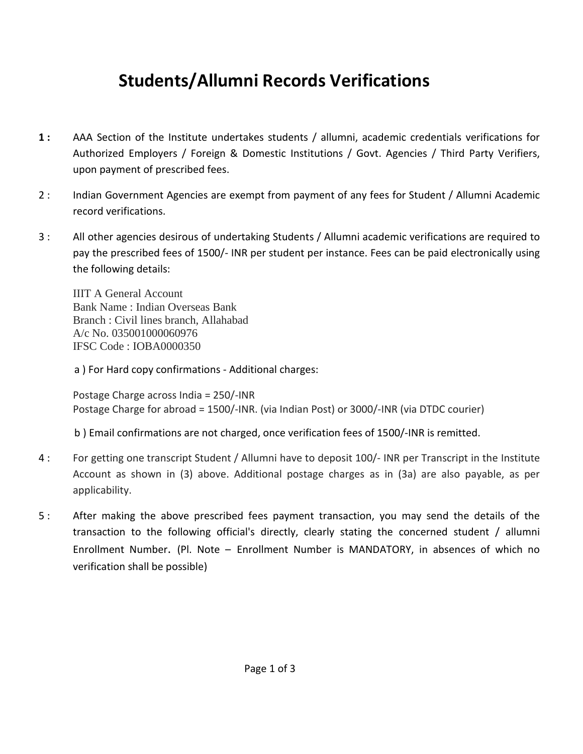## **Students/Allumni Records Verifications**

- **1 :** AAA Section of the Institute undertakes students / allumni, academic credentials verifications for Authorized Employers / Foreign & Domestic Institutions / Govt. Agencies / Third Party Verifiers, upon payment of prescribed fees.
- 2 : Indian Government Agencies are exempt from payment of any fees for Student / Allumni Academic record verifications.
- 3 : All other agencies desirous of undertaking Students / Allumni academic verifications are required to pay the prescribed fees of 1500/- INR per student per instance. Fees can be paid electronically using the following details:

IIIT A General Account Bank Name : Indian Overseas Bank Branch : Civil lines branch, Allahabad A/c No. 035001000060976 IFSC Code : IOBA0000350

a ) For Hard copy confirmations - Additional charges:

Postage Charge across India = 250/-INR Postage Charge for abroad = 1500/-INR. (via Indian Post) or 3000/-INR (via DTDC courier)

b ) Email confirmations are not charged, once verification fees of 1500/-INR is remitted.

- 4 : For getting one transcript Student / Allumni have to deposit 100/- INR per Transcript in the Institute Account as shown in (3) above. Additional postage charges as in (3a) are also payable, as per applicability.
- 5 : After making the above prescribed fees payment transaction, you may send the details of the transaction to the following official's directly, clearly stating the concerned student / allumni Enrollment Number. (Pl. Note – Enrollment Number is MANDATORY, in absences of which no verification shall be possible)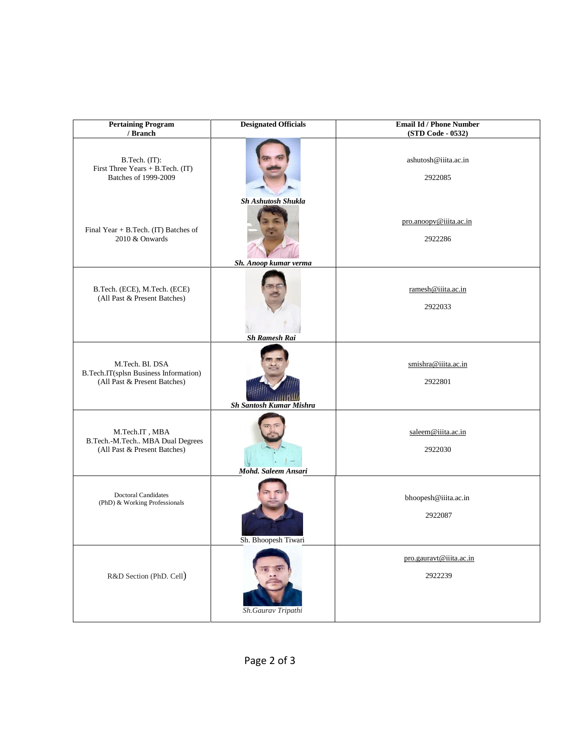| <b>Pertaining Program</b><br>/ Branch                                                    | <b>Designated Officials</b>                        | <b>Email Id / Phone Number</b><br>(STD Code - 0532) |
|------------------------------------------------------------------------------------------|----------------------------------------------------|-----------------------------------------------------|
| B.Tech. (IT):<br>First Three Years + B.Tech. (IT)<br>Batches of 1999-2009                |                                                    | ashutosh@iiita.ac.in<br>2922085                     |
| Final Year + B.Tech. (IT) Batches of<br>2010 & Onwards                                   | <b>Sh Ashutosh Shukla</b><br>Sh. Anoop kumar verma | pro.anoopv@iiita.ac.in<br>2922286                   |
| B.Tech. (ECE), M.Tech. (ECE)<br>(All Past & Present Batches)                             | <b>Sh Ramesh Rai</b>                               | ramesh@iiita.ac.in<br>2922033                       |
| M.Tech. BI. DSA<br>B.Tech.IT(splsn Business Information)<br>(All Past & Present Batches) | Sh Santosh Kumar Mishra                            | smishra@iiita.ac.in<br>2922801                      |
| M.Tech.IT, MBA<br>B.Tech.-M.Tech MBA Dual Degrees<br>(All Past & Present Batches)        | Mohd. Saleem Ansari                                | saleem@iiita.ac.in<br>2922030                       |
| <b>Doctoral Candidates</b><br>(PhD) & Working Professionals                              | Sh. Bhoopesh Tiwari                                | bhoopesh@iiita.ac.in<br>2922087                     |
| R&D Section (PhD. Cell)                                                                  | Sh.Gaurav Tripathi                                 | pro.gauravt@iiita.ac.in<br>2922239                  |